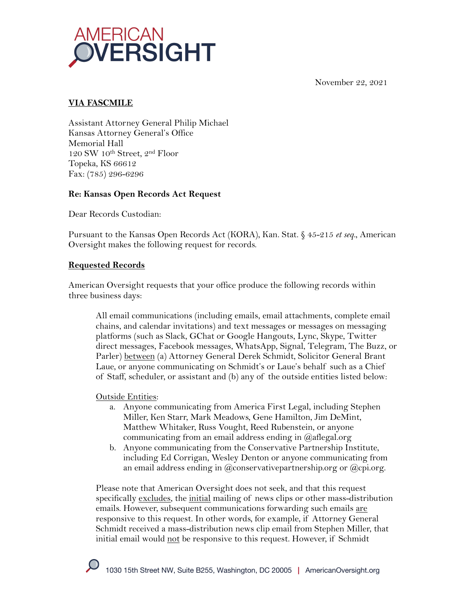

November 22, 2021

## **VIA FASCMILE**

Assistant Attorney General Philip Michael Kansas Attorney General's Office Memorial Hall 120 SW 10th Street, 2nd Floor Topeka, KS 66612 Fax: (785) 296-6296

### **Re: Kansas Open Records Act Request**

Dear Records Custodian:

Pursuant to the Kansas Open Records Act (KORA), Kan. Stat. § 45-215 *et seq.*, American Oversight makes the following request for records.

### **Requested Records**

American Oversight requests that your office produce the following records within three business days:

All email communications (including emails, email attachments, complete email chains, and calendar invitations) and text messages or messages on messaging platforms (such as Slack, GChat or Google Hangouts, Lync, Skype, Twitter direct messages, Facebook messages, WhatsApp, Signal, Telegram, The Buzz, or Parler) between (a) Attorney General Derek Schmidt, Solicitor General Brant Laue, or anyone communicating on Schmidt's or Laue's behalf such as a Chief of Staff, scheduler, or assistant and (b) any of the outside entities listed below:

#### Outside Entities:

- a. Anyone communicating from America First Legal, including Stephen Miller, Ken Starr, Mark Meadows, Gene Hamilton, Jim DeMint, Matthew Whitaker, Russ Vought, Reed Rubenstein, or anyone communicating from an email address ending in @aflegal.org
- b. Anyone communicating from the Conservative Partnership Institute, including Ed Corrigan, Wesley Denton or anyone communicating from an email address ending in @conservativepartnership.org or @cpi.org.

Please note that American Oversight does not seek, and that this request specifically excludes, the initial mailing of news clips or other mass-distribution emails. However, subsequent communications forwarding such emails are responsive to this request. In other words, for example, if Attorney General Schmidt received a mass-distribution news clip email from Stephen Miller, that initial email would not be responsive to this request. However, if Schmidt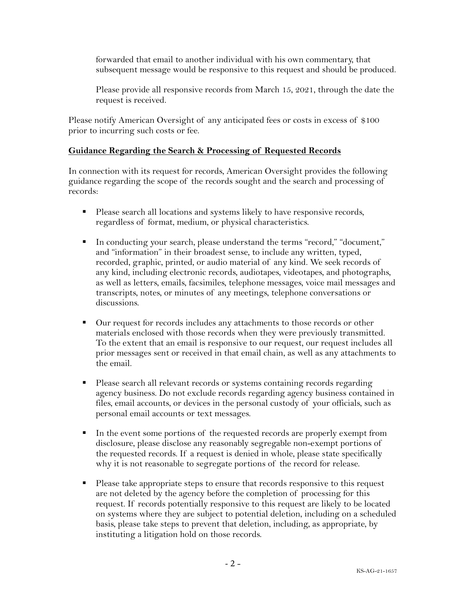forwarded that email to another individual with his own commentary, that subsequent message would be responsive to this request and should be produced.

Please provide all responsive records from March 15, 2021, through the date the request is received.

Please notify American Oversight of any anticipated fees or costs in excess of \$100 prior to incurring such costs or fee.

## **Guidance Regarding the Search & Processing of Requested Records**

In connection with its request for records, American Oversight provides the following guidance regarding the scope of the records sought and the search and processing of records:

- Please search all locations and systems likely to have responsive records, regardless of format, medium, or physical characteristics.
- § In conducting your search, please understand the terms "record," "document," and "information" in their broadest sense, to include any written, typed, recorded, graphic, printed, or audio material of any kind. We seek records of any kind, including electronic records, audiotapes, videotapes, and photographs, as well as letters, emails, facsimiles, telephone messages, voice mail messages and transcripts, notes, or minutes of any meetings, telephone conversations or discussions.
- Our request for records includes any attachments to those records or other materials enclosed with those records when they were previously transmitted. To the extent that an email is responsive to our request, our request includes all prior messages sent or received in that email chain, as well as any attachments to the email.
- § Please search all relevant records or systems containing records regarding agency business. Do not exclude records regarding agency business contained in files, email accounts, or devices in the personal custody of your officials, such as personal email accounts or text messages.
- In the event some portions of the requested records are properly exempt from disclosure, please disclose any reasonably segregable non-exempt portions of the requested records. If a request is denied in whole, please state specifically why it is not reasonable to segregate portions of the record for release.
- Please take appropriate steps to ensure that records responsive to this request are not deleted by the agency before the completion of processing for this request. If records potentially responsive to this request are likely to be located on systems where they are subject to potential deletion, including on a scheduled basis, please take steps to prevent that deletion, including, as appropriate, by instituting a litigation hold on those records.